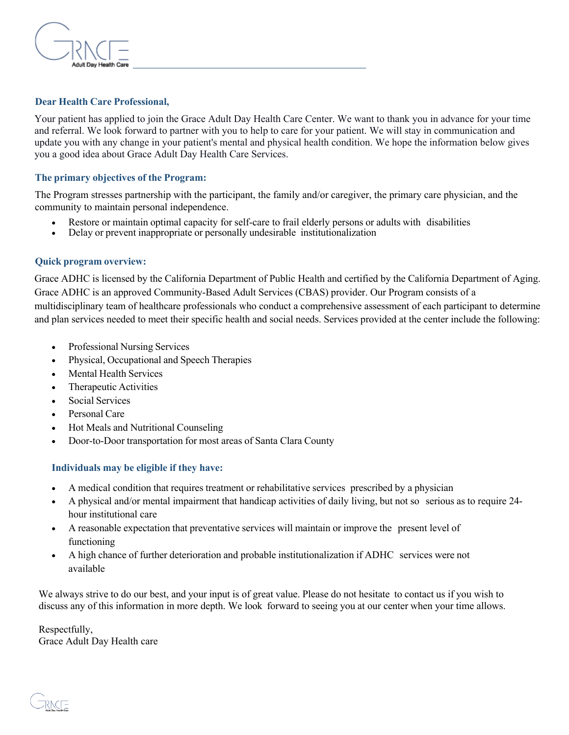

### **Dear Health Care Professional,**

Your patient has applied to join the Grace Adult Day Health Care Center. We want to thank you in advance for your time and referral. We look forward to partner with you to help to care for your patient. We will stay in communication and update you with any change in your patient's mental and physical health condition. We hope the information below gives you a good idea about Grace Adult Day Health Care Services.

#### **The primary objectives of the Program:**

The Program stresses partnership with the participant, the family and/or caregiver, the primary care physician, and the community to maintain personal independence.

- Restore or maintain optimal capacity for self-care to frail elderly persons or adults with disabilities
- Delay or prevent inappropriate or personally undesirable institutionalization

#### **Quick program overview:**

Grace ADHC is licensed by the California Department of Public Health and certified by the California Department of Aging. Grace ADHC is an approved Community-Based Adult Services (CBAS) provider. Our Program consists of a multidisciplinary team of healthcare professionals who conduct a comprehensive assessment of each participant to determine and plan services needed to meet their specific health and social needs. Services provided at the center include the following:

- Professional Nursing Services
- Physical, Occupational and Speech Therapies
- Mental Health Services
- Therapeutic Activities
- Social Services
- Personal Care
- Hot Meals and Nutritional Counseling
- Door-to-Door transportation for most areas of Santa Clara County

## **Individuals may be eligible if they have:**

- A medical condition that requires treatment or rehabilitative services prescribed by a physician
- A physical and/or mental impairment that handicap activities of daily living, but not so serious as to require 24 hour institutional care
- A reasonable expectation that preventative services will maintain or improve the present level of functioning
- A high chance of further deterioration and probable institutionalization if ADHC services were not available

We always strive to do our best, and your input is of great value. Please do not hesitate to contact us if you wish to discuss any of this information in more depth. We look forward to seeing you at our center when your time allows.

Respectfully, Grace Adult Day Health care

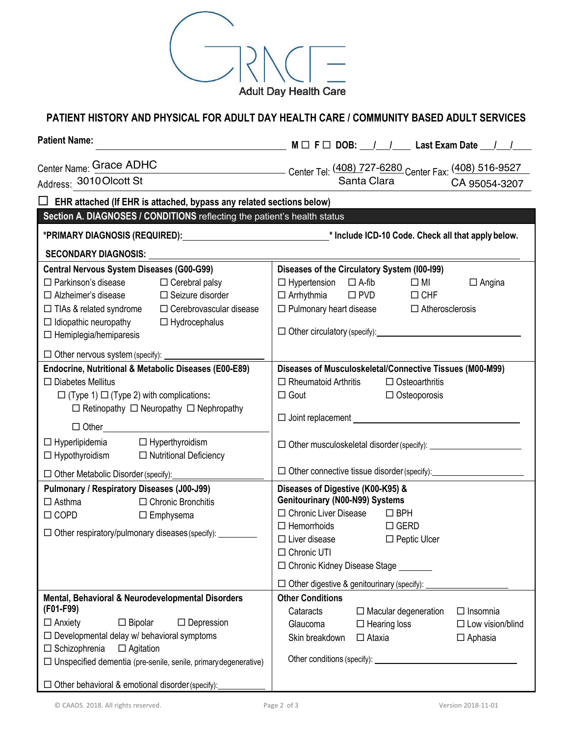

# **PATIENT HISTORY AND PHYSICAL FOR ADULT DAY HEALTH CARE / COMMUNITY BASED ADULT SERVICES**

| <b>Patient Name:</b>                                                                                                                                                                                                                                                                                                                                                                                                                                                                                                                                                                       | $M \Box F \Box DOB:$ $1 \quad 1$ Last Exam Date $1 \quad 1$                                                                                                                                                                                                                                                                                                                                                                                                                                                                                                               |  |  |  |
|--------------------------------------------------------------------------------------------------------------------------------------------------------------------------------------------------------------------------------------------------------------------------------------------------------------------------------------------------------------------------------------------------------------------------------------------------------------------------------------------------------------------------------------------------------------------------------------------|---------------------------------------------------------------------------------------------------------------------------------------------------------------------------------------------------------------------------------------------------------------------------------------------------------------------------------------------------------------------------------------------------------------------------------------------------------------------------------------------------------------------------------------------------------------------------|--|--|--|
| Address: 3010 Olcott St                                                                                                                                                                                                                                                                                                                                                                                                                                                                                                                                                                    | Center Name: Grace ADHC<br>Center Tel: (408) 727-6280 Center Fax: (408) 516-9527<br>Santa Clara CA 95054-3207<br>CA 95054-3207                                                                                                                                                                                                                                                                                                                                                                                                                                            |  |  |  |
| $\Box$ EHR attached (If EHR is attached, bypass any related sections below)                                                                                                                                                                                                                                                                                                                                                                                                                                                                                                                |                                                                                                                                                                                                                                                                                                                                                                                                                                                                                                                                                                           |  |  |  |
| Section A. DIAGNOSES / CONDITIONS reflecting the patient's health status                                                                                                                                                                                                                                                                                                                                                                                                                                                                                                                   |                                                                                                                                                                                                                                                                                                                                                                                                                                                                                                                                                                           |  |  |  |
|                                                                                                                                                                                                                                                                                                                                                                                                                                                                                                                                                                                            |                                                                                                                                                                                                                                                                                                                                                                                                                                                                                                                                                                           |  |  |  |
| <b>SECONDARY DIAGNOSIS:</b>                                                                                                                                                                                                                                                                                                                                                                                                                                                                                                                                                                |                                                                                                                                                                                                                                                                                                                                                                                                                                                                                                                                                                           |  |  |  |
| <b>Central Nervous System Diseases (G00-G99)</b><br>$\Box$ Parkinson's disease $\Box$ Cerebral palsy<br>$\Box$ Seizure disorder<br>$\Box$ Alzheimer's disease<br>$\Box$ TIAs & related syndrome<br>$\Box$ Cerebrovascular disease<br>$\Box$ Idiopathic neuropathy<br>$\Box$ Hydrocephalus<br>$\Box$ Hemiplegia/hemiparesis                                                                                                                                                                                                                                                                 | Diseases of the Circulatory System (100-199)<br>$\Box$ Angina<br>$\Box$ Hypertension $\Box$ A-fib<br>$\Box$ MI<br>$\Box$ Arrhythmia $\Box$ PVD<br>$\Box$ CHF<br>$\Box$ Pulmonary heart disease $\Box$ Atherosclerosis                                                                                                                                                                                                                                                                                                                                                     |  |  |  |
|                                                                                                                                                                                                                                                                                                                                                                                                                                                                                                                                                                                            |                                                                                                                                                                                                                                                                                                                                                                                                                                                                                                                                                                           |  |  |  |
| Endocrine, Nutritional & Metabolic Diseases (E00-E89)<br>$\Box$ Diabetes Mellitus<br>$\Box$ (Type 1) $\Box$ (Type 2) with complications:<br>$\Box$ Retinopathy $\Box$ Neuropathy $\Box$ Nephropathy<br>$\Box$ Other<br>$\Box$ Hyperlipidemia<br>$\Box$ Hyperthyroidism<br>$\Box$ Hypothyroidism $\Box$ Nutritional Deficiency<br>□ Other Metabolic Disorder (specify): <u>□ □ □ □ □ □ </u><br>Pulmonary / Respiratory Diseases (J00-J99)<br>$\Box$ Chronic Bronchitis<br>$\Box$ Asthma<br>$\Box$ COPD<br>$\Box$ Emphysema<br>$\Box$ Other respiratory/pulmonary diseases (specify): $\Box$ | Diseases of Musculoskeletal/Connective Tissues (M00-M99)<br>$\Box$ Rheumatoid Arthritis<br>$\Box$ Osteoarthritis<br>$\Box$ Gout<br>$\Box$ Osteoporosis<br>$\Box$ Joint replacement $\Box$<br>$\Box$ Other musculoskeletal disorder (specify): $\Box$<br>$\Box$ Other connective tissue disorder (specify):<br>Diseases of Digestive (K00-K95) &<br>Genitourinary (N00-N99) Systems<br>$\Box$ Chronic Liver Disease $\Box$ BPH<br>$\Box$ Hemorrhoids<br>$\Box$ GERD<br>$\Box$ Liver disease<br>$\Box$ Peptic Ulcer<br>$\Box$ Chronic UTI<br>□ Chronic Kidney Disease Stage |  |  |  |
| Mental, Behavioral & Neurodevelopmental Disorders<br>(F01-F99)<br>$\Box$ Bipolar<br>$\Box$ Depression<br>$\Box$ Anxiety<br>$\Box$ Developmental delay w/ behavioral symptoms<br>$\Box$ Schizophrenia<br>$\Box$ Agitation<br>□ Unspecified dementia (pre-senile, senile, primary degenerative)<br>$\Box$ Other behavioral & emotional disorder (specify):                                                                                                                                                                                                                                   | $\Box$ Other digestive & genitourinary (specify):<br><b>Other Conditions</b><br>Cataracts<br>$\Box$ Macular degeneration<br>$\Box$ Insomnia<br>Glaucoma<br>$\Box$ Low vision/blind<br>$\Box$ Hearing loss<br>$\Box$ Ataxia<br>Skin breakdown<br>$\Box$ Aphasia<br>Other conditions (specify): Notice of the conditions of the conditions of the conditions of the conditions of the conditions of the conditions of the conditions of the conditions of the conditions of the conditions of the                                                                           |  |  |  |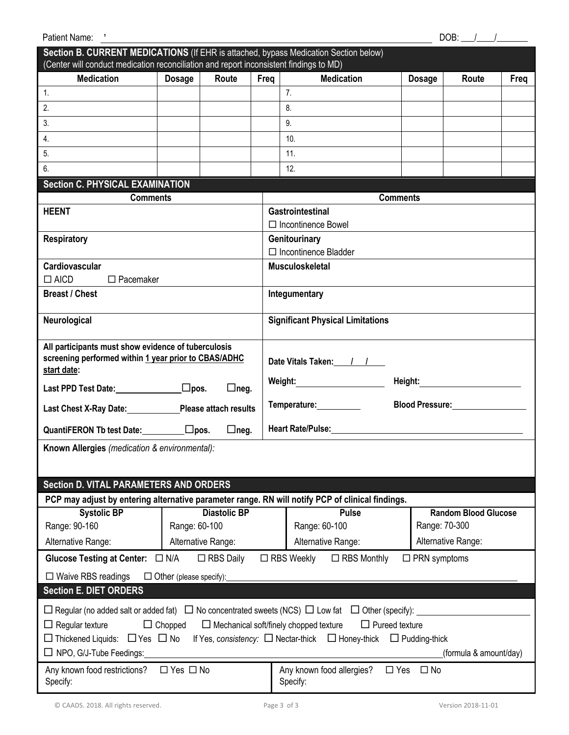| DOB: $\angle$<br>Patient Name: '                                                                                                                                                                                                                                                                                                                                                                              |               |                     |      |                                                                                                                                                    |                 |               |                             |      |
|---------------------------------------------------------------------------------------------------------------------------------------------------------------------------------------------------------------------------------------------------------------------------------------------------------------------------------------------------------------------------------------------------------------|---------------|---------------------|------|----------------------------------------------------------------------------------------------------------------------------------------------------|-----------------|---------------|-----------------------------|------|
| Section B. CURRENT MEDICATIONS (If EHR is attached, bypass Medication Section below)<br>(Center will conduct medication reconciliation and report inconsistent findings to MD)                                                                                                                                                                                                                                |               |                     |      |                                                                                                                                                    |                 |               |                             |      |
| <b>Medication</b>                                                                                                                                                                                                                                                                                                                                                                                             | <b>Dosage</b> | Route               | Freq | <b>Medication</b>                                                                                                                                  |                 | <b>Dosage</b> | Route                       | Freq |
| $\mathbf{1}$ .                                                                                                                                                                                                                                                                                                                                                                                                |               |                     |      | 7.                                                                                                                                                 |                 |               |                             |      |
| 2.                                                                                                                                                                                                                                                                                                                                                                                                            |               |                     |      | 8.                                                                                                                                                 |                 |               |                             |      |
| 3.                                                                                                                                                                                                                                                                                                                                                                                                            |               |                     |      | 9.                                                                                                                                                 |                 |               |                             |      |
| 4.                                                                                                                                                                                                                                                                                                                                                                                                            |               |                     |      | 10.                                                                                                                                                |                 |               |                             |      |
| 5.                                                                                                                                                                                                                                                                                                                                                                                                            |               |                     |      | 11.                                                                                                                                                |                 |               |                             |      |
| 6.                                                                                                                                                                                                                                                                                                                                                                                                            |               |                     |      | 12.                                                                                                                                                |                 |               |                             |      |
| <b>Section C. PHYSICAL EXAMINATION</b>                                                                                                                                                                                                                                                                                                                                                                        |               |                     |      |                                                                                                                                                    |                 |               |                             |      |
| <b>Comments</b><br><b>HEENT</b>                                                                                                                                                                                                                                                                                                                                                                               |               |                     |      | Gastrointestinal                                                                                                                                   | <b>Comments</b> |               |                             |      |
|                                                                                                                                                                                                                                                                                                                                                                                                               |               |                     |      | $\Box$ Incontinence Bowel                                                                                                                          |                 |               |                             |      |
| <b>Respiratory</b>                                                                                                                                                                                                                                                                                                                                                                                            |               |                     |      | Genitourinary                                                                                                                                      |                 |               |                             |      |
|                                                                                                                                                                                                                                                                                                                                                                                                               |               |                     |      | $\Box$ Incontinence Bladder                                                                                                                        |                 |               |                             |      |
| Cardiovascular                                                                                                                                                                                                                                                                                                                                                                                                |               |                     |      | <b>Musculoskeletal</b>                                                                                                                             |                 |               |                             |      |
| $\Box$ AICD<br>$\Box$ Pacemaker                                                                                                                                                                                                                                                                                                                                                                               |               |                     |      |                                                                                                                                                    |                 |               |                             |      |
| <b>Breast / Chest</b>                                                                                                                                                                                                                                                                                                                                                                                         |               |                     |      | Integumentary                                                                                                                                      |                 |               |                             |      |
| Neurological                                                                                                                                                                                                                                                                                                                                                                                                  |               |                     |      | <b>Significant Physical Limitations</b>                                                                                                            |                 |               |                             |      |
| All participants must show evidence of tuberculosis<br>screening performed within 1 year prior to CBAS/ADHC<br>start date:<br>$\Box$ neg.                                                                                                                                                                                                                                                                     |               |                     |      | Date Vitals Taken: 1 1<br>Weight:_____________________                                                                                             |                 |               |                             |      |
| Last Chest X-Ray Date: Please attach results                                                                                                                                                                                                                                                                                                                                                                  |               |                     |      | Blood Pressure: ________________<br>Temperature: Network of the set of the set of the set of the set of the set of the set of the set of the set o |                 |               |                             |      |
| QuantiFERON Tb test Date: $\square$ pos.<br>$\Box$ neg.                                                                                                                                                                                                                                                                                                                                                       |               |                     |      | Heart Rate/Pulse: National Accounts and Accounts and Accounts and Accounts are also been accounted as a set of                                     |                 |               |                             |      |
| Known Allergies (medication & environmental):                                                                                                                                                                                                                                                                                                                                                                 |               |                     |      |                                                                                                                                                    |                 |               |                             |      |
|                                                                                                                                                                                                                                                                                                                                                                                                               |               |                     |      |                                                                                                                                                    |                 |               |                             |      |
| <b>Section D. VITAL PARAMETERS AND ORDERS</b>                                                                                                                                                                                                                                                                                                                                                                 |               |                     |      |                                                                                                                                                    |                 |               |                             |      |
| PCP may adjust by entering alternative parameter range. RN will notify PCP of clinical findings.                                                                                                                                                                                                                                                                                                              |               |                     |      |                                                                                                                                                    |                 |               |                             |      |
| <b>Systolic BP</b>                                                                                                                                                                                                                                                                                                                                                                                            |               | <b>Diastolic BP</b> |      | <b>Pulse</b>                                                                                                                                       |                 |               | <b>Random Blood Glucose</b> |      |
| Range: 90-160                                                                                                                                                                                                                                                                                                                                                                                                 | Range: 60-100 |                     |      | Range: 60-100                                                                                                                                      |                 | Range: 70-300 |                             |      |
| Alternative Range:                                                                                                                                                                                                                                                                                                                                                                                            |               | Alternative Range:  |      | Alternative Range:                                                                                                                                 |                 |               | Alternative Range:          |      |
| $\Box$ RBS Daily<br>$\Box$ RBS Weekly<br>$\Box$ RBS Monthly<br>Glucose Testing at Center: □ N/A<br>$\Box$ PRN symptoms                                                                                                                                                                                                                                                                                        |               |                     |      |                                                                                                                                                    |                 |               |                             |      |
| $\Box$ Waive RBS readings<br>$\Box$ Other (please specify):                                                                                                                                                                                                                                                                                                                                                   |               |                     |      |                                                                                                                                                    |                 |               |                             |      |
| <b>Section E. DIET ORDERS</b>                                                                                                                                                                                                                                                                                                                                                                                 |               |                     |      |                                                                                                                                                    |                 |               |                             |      |
| $\Box$ Regular (no added salt or added fat) $\Box$ No concentrated sweets (NCS) $\Box$ Low fat $\Box$ Other (specify):<br>$\Box$ Mechanical soft/finely chopped texture<br>$\Box$ Pureed texture<br>$\Box$ Regular texture<br>$\Box$ Chopped<br>□ Thickened Liquids: □ Yes □ No If Yes, consistency: □ Nectar-thick □ Honey-thick □ Pudding-thick<br>$\Box$ NPO, G/J-Tube Feedings:<br>(formula & amount/day) |               |                     |      |                                                                                                                                                    |                 |               |                             |      |
| $\Box$ Yes $\Box$ No<br>Any known food allergies?<br>Any known food restrictions?<br>$\Box$ Yes<br>$\square$ No<br>Specify:<br>Specify:                                                                                                                                                                                                                                                                       |               |                     |      |                                                                                                                                                    |                 |               |                             |      |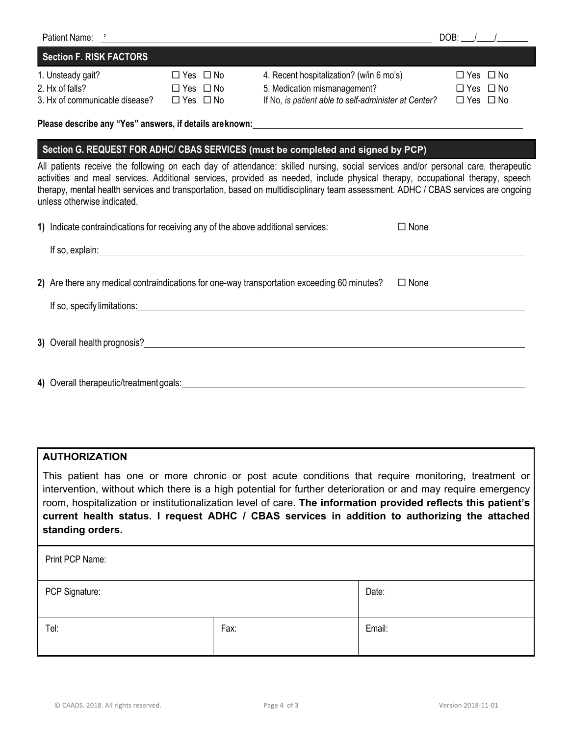|                                                                                                                                                                                                                                                                                                                                                    | Patient Name: '                                                                                                                                                                                                                                                                                                                                                                                                                      |                                                                      |                                                                                                                                                                                                                                | DOB: $/$ /                                                           |  |  |  |
|----------------------------------------------------------------------------------------------------------------------------------------------------------------------------------------------------------------------------------------------------------------------------------------------------------------------------------------------------|--------------------------------------------------------------------------------------------------------------------------------------------------------------------------------------------------------------------------------------------------------------------------------------------------------------------------------------------------------------------------------------------------------------------------------------|----------------------------------------------------------------------|--------------------------------------------------------------------------------------------------------------------------------------------------------------------------------------------------------------------------------|----------------------------------------------------------------------|--|--|--|
|                                                                                                                                                                                                                                                                                                                                                    | <b>Section F. RISK FACTORS</b>                                                                                                                                                                                                                                                                                                                                                                                                       |                                                                      |                                                                                                                                                                                                                                |                                                                      |  |  |  |
|                                                                                                                                                                                                                                                                                                                                                    | 1. Unsteady gait?<br>2. Hx of falls?<br>3. Hx of communicable disease?                                                                                                                                                                                                                                                                                                                                                               | $\Box$ Yes $\Box$ No<br>$\Box$ Yes $\Box$ No<br>$\Box$ Yes $\Box$ No | 4. Recent hospitalization? (w/in 6 mo's)<br>5. Medication mismanagement?<br>If No, is patient able to self-administer at Center?                                                                                               | $\Box$ Yes $\Box$ No<br>$\Box$ Yes $\Box$ No<br>$\Box$ Yes $\Box$ No |  |  |  |
|                                                                                                                                                                                                                                                                                                                                                    |                                                                                                                                                                                                                                                                                                                                                                                                                                      |                                                                      |                                                                                                                                                                                                                                |                                                                      |  |  |  |
|                                                                                                                                                                                                                                                                                                                                                    | Section G. REQUEST FOR ADHC/ CBAS SERVICES (must be completed and signed by PCP)                                                                                                                                                                                                                                                                                                                                                     |                                                                      |                                                                                                                                                                                                                                |                                                                      |  |  |  |
|                                                                                                                                                                                                                                                                                                                                                    | All patients receive the following on each day of attendance: skilled nursing, social services and/or personal care, therapeutic<br>activities and meal services. Additional services, provided as needed, include physical therapy, occupational therapy, speech<br>therapy, mental health services and transportation, based on multidisciplinary team assessment. ADHC / CBAS services are ongoing<br>unless otherwise indicated. |                                                                      |                                                                                                                                                                                                                                |                                                                      |  |  |  |
|                                                                                                                                                                                                                                                                                                                                                    | 1) Indicate contraindications for receiving any of the above additional services:                                                                                                                                                                                                                                                                                                                                                    |                                                                      |                                                                                                                                                                                                                                | $\Box$ None                                                          |  |  |  |
|                                                                                                                                                                                                                                                                                                                                                    |                                                                                                                                                                                                                                                                                                                                                                                                                                      |                                                                      |                                                                                                                                                                                                                                |                                                                      |  |  |  |
| 2) Are there any medical contraindications for one-way transportation exceeding 60 minutes?<br>$\Box$ None<br>If so, specify limitations: <u>contained a set of the set of the set of the set of the set of the set of the set of the set of the set of the set of the set of the set of the set of the set of the set of the set of the set o</u> |                                                                                                                                                                                                                                                                                                                                                                                                                                      |                                                                      |                                                                                                                                                                                                                                |                                                                      |  |  |  |
|                                                                                                                                                                                                                                                                                                                                                    |                                                                                                                                                                                                                                                                                                                                                                                                                                      |                                                                      |                                                                                                                                                                                                                                |                                                                      |  |  |  |
|                                                                                                                                                                                                                                                                                                                                                    |                                                                                                                                                                                                                                                                                                                                                                                                                                      |                                                                      | 4) Overall therapeutic/treatment goals: example and a set of the set of the set of the set of the set of the set of the set of the set of the set of the set of the set of the set of the set of the set of the set of the set |                                                                      |  |  |  |

# **AUTHORIZATION**

This patient has one or more chronic or post acute conditions that require monitoring, treatment or intervention, without which there is a high potential for further deterioration or and may require emergency room, hospitalization or institutionalization level of care. **The information provided reflects this patient's current health status. I request ADHC / CBAS services in addition to authorizing the attached standing orders.**

| Print PCP Name: |       |        |  |  |  |
|-----------------|-------|--------|--|--|--|
| PCP Signature:  | Date: |        |  |  |  |
| Tel:            | Fax:  | Email: |  |  |  |